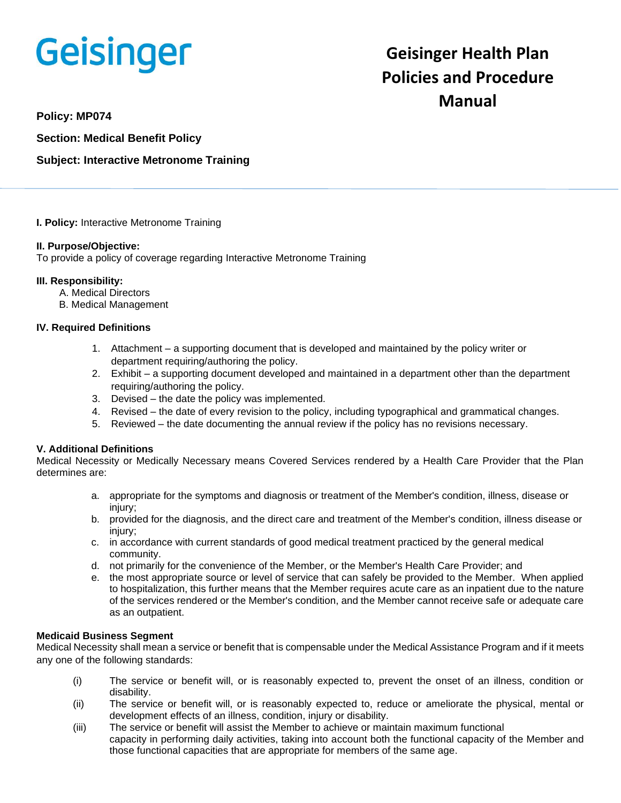# Geisinger

# **Geisinger Health Plan Policies and Procedure Manual**

**Policy: MP074**

**Section: Medical Benefit Policy**

## **Subject: Interactive Metronome Training**

**I. Policy:** Interactive Metronome Training

#### **II. Purpose/Objective:**

To provide a policy of coverage regarding Interactive Metronome Training

#### **III. Responsibility:**

- A. Medical Directors
- B. Medical Management

#### **IV. Required Definitions**

- 1. Attachment a supporting document that is developed and maintained by the policy writer or department requiring/authoring the policy.
- 2. Exhibit a supporting document developed and maintained in a department other than the department requiring/authoring the policy.
- 3. Devised the date the policy was implemented.
- 4. Revised the date of every revision to the policy, including typographical and grammatical changes.
- 5. Reviewed the date documenting the annual review if the policy has no revisions necessary.

### **V. Additional Definitions**

Medical Necessity or Medically Necessary means Covered Services rendered by a Health Care Provider that the Plan determines are:

- a. appropriate for the symptoms and diagnosis or treatment of the Member's condition, illness, disease or injury;
- b. provided for the diagnosis, and the direct care and treatment of the Member's condition, illness disease or injury;
- c. in accordance with current standards of good medical treatment practiced by the general medical community.
- d. not primarily for the convenience of the Member, or the Member's Health Care Provider; and
- e. the most appropriate source or level of service that can safely be provided to the Member. When applied to hospitalization, this further means that the Member requires acute care as an inpatient due to the nature of the services rendered or the Member's condition, and the Member cannot receive safe or adequate care as an outpatient.

#### **Medicaid Business Segment**

Medical Necessity shall mean a service or benefit that is compensable under the Medical Assistance Program and if it meets any one of the following standards:

- (i) The service or benefit will, or is reasonably expected to, prevent the onset of an illness, condition or disability.
- (ii) The service or benefit will, or is reasonably expected to, reduce or ameliorate the physical, mental or development effects of an illness, condition, injury or disability.
- (iii) The service or benefit will assist the Member to achieve or maintain maximum functional capacity in performing daily activities, taking into account both the functional capacity of the Member and those functional capacities that are appropriate for members of the same age.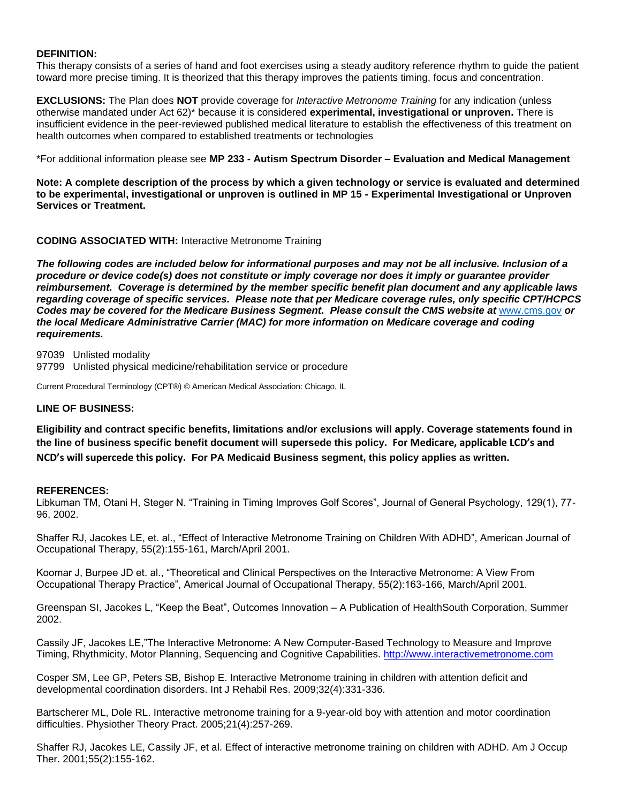#### **DEFINITION:**

This therapy consists of a series of hand and foot exercises using a steady auditory reference rhythm to guide the patient toward more precise timing. It is theorized that this therapy improves the patients timing, focus and concentration.

**EXCLUSIONS:** The Plan does **NOT** provide coverage for *Interactive Metronome Training* for any indication (unless otherwise mandated under Act 62)\* because it is considered **experimental, investigational or unproven.** There is insufficient evidence in the peer-reviewed published medical literature to establish the effectiveness of this treatment on health outcomes when compared to established treatments or technologies

\*For additional information please see **MP 233 - Autism Spectrum Disorder – Evaluation and Medical Management**

**Note: A complete description of the process by which a given technology or service is evaluated and determined to be experimental, investigational or unproven is outlined in MP 15 - Experimental Investigational or Unproven Services or Treatment.**

#### **CODING ASSOCIATED WITH:** Interactive Metronome Training

*The following codes are included below for informational purposes and may not be all inclusive. Inclusion of a procedure or device code(s) does not constitute or imply coverage nor does it imply or guarantee provider reimbursement. Coverage is determined by the member specific benefit plan document and any applicable laws regarding coverage of specific services. Please note that per Medicare coverage rules, only specific CPT/HCPCS Codes may be covered for the Medicare Business Segment. Please consult the CMS website at* [www.cms.gov](http://www.cms.gov/) *or the local Medicare Administrative Carrier (MAC) for more information on Medicare coverage and coding requirements.*

97039 Unlisted modality

97799 Unlisted physical medicine/rehabilitation service or procedure

Current Procedural Terminology (CPT®) © American Medical Association: Chicago, IL

#### **LINE OF BUSINESS:**

**Eligibility and contract specific benefits, limitations and/or exclusions will apply. Coverage statements found in the line of business specific benefit document will supersede this policy. For Medicare, applicable LCD's and NCD's will supercede this policy. For PA Medicaid Business segment, this policy applies as written.**

#### **REFERENCES:**

Libkuman TM, Otani H, Steger N. "Training in Timing Improves Golf Scores", Journal of General Psychology, 129(1), 77- 96, 2002.

Shaffer RJ, Jacokes LE, et. al., "Effect of Interactive Metronome Training on Children With ADHD", American Journal of Occupational Therapy, 55(2):155-161, March/April 2001.

Koomar J, Burpee JD et. al., "Theoretical and Clinical Perspectives on the Interactive Metronome: A View From Occupational Therapy Practice", Americal Journal of Occupational Therapy, 55(2):163-166, March/April 2001.

Greenspan SI, Jacokes L, "Keep the Beat", Outcomes Innovation – A Publication of HealthSouth Corporation, Summer 2002.

Cassily JF, Jacokes LE,"The Interactive Metronome: A New Computer-Based Technology to Measure and Improve Timing, Rhythmicity, Motor Planning, Sequencing and Cognitive Capabilities. [http://www.interactivemetronome.com](http://www.interactivemetronome.com/)

Cosper SM, Lee GP, Peters SB, Bishop E. Interactive Metronome training in children with attention deficit and developmental coordination disorders. Int J Rehabil Res. 2009;32(4):331-336.

Bartscherer ML, Dole RL. Interactive metronome training for a 9-year-old boy with attention and motor coordination difficulties. Physiother Theory Pract. 2005;21(4):257-269.

Shaffer RJ, Jacokes LE, Cassily JF, et al. Effect of interactive metronome training on children with ADHD. Am J Occup Ther. 2001;55(2):155-162.